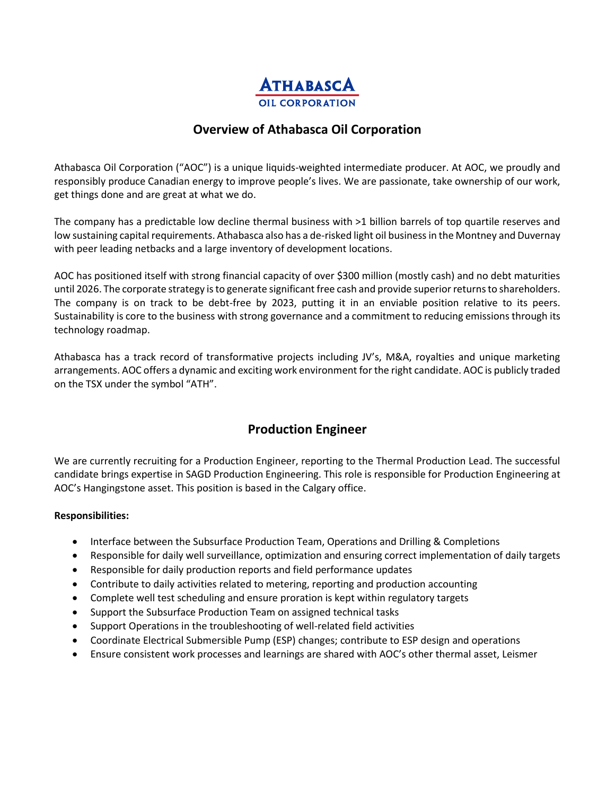

## **Overview of Athabasca Oil Corporation**

Athabasca Oil Corporation ("AOC") is a unique liquids-weighted intermediate producer. At AOC, we proudly and responsibly produce Canadian energy to improve people's lives. We are passionate, take ownership of our work, get things done and are great at what we do.

The company has a predictable low decline thermal business with >1 billion barrels of top quartile reserves and low sustaining capital requirements. Athabasca also has a de-risked light oil business in the Montney and Duvernay with peer leading netbacks and a large inventory of development locations.

AOC has positioned itself with strong financial capacity of over \$300 million (mostly cash) and no debt maturities until 2026. The corporate strategy is to generate significant free cash and provide superior returns to shareholders. The company is on track to be debt-free by 2023, putting it in an enviable position relative to its peers. Sustainability is core to the business with strong governance and a commitment to reducing emissions through its technology roadmap.

Athabasca has a track record of transformative projects including JV's, M&A, royalties and unique marketing arrangements. AOC offers a dynamic and exciting work environment for the right candidate. AOC is publicly traded on the TSX under the symbol "ATH".

## **Production Engineer**

We are currently recruiting for a Production Engineer, reporting to the Thermal Production Lead. The successful candidate brings expertise in SAGD Production Engineering. This role is responsible for Production Engineering at AOC's Hangingstone asset. This position is based in the Calgary office.

## **Responsibilities:**

- Interface between the Subsurface Production Team, Operations and Drilling & Completions
- Responsible for daily well surveillance, optimization and ensuring correct implementation of daily targets
- Responsible for daily production reports and field performance updates
- Contribute to daily activities related to metering, reporting and production accounting
- Complete well test scheduling and ensure proration is kept within regulatory targets
- Support the Subsurface Production Team on assigned technical tasks
- Support Operations in the troubleshooting of well-related field activities
- Coordinate Electrical Submersible Pump (ESP) changes; contribute to ESP design and operations
- Ensure consistent work processes and learnings are shared with AOC's other thermal asset, Leismer